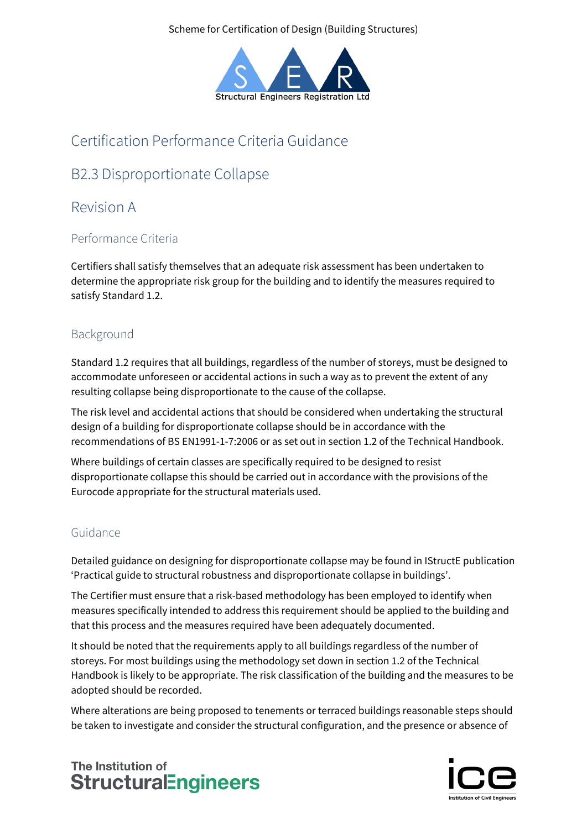Scheme for Certification of Design (Building Structures)



# Certification Performance Criteria Guidance

# B2.3 Disproportionate Collapse

## Revision A

### Performance Criteria

Certifiers shall satisfy themselves that an adequate risk assessment has been undertaken to determine the appropriate risk group for the building and to identify the measures required to satisfy Standard 1.2.

## Background

Standard 1.2 requires that all buildings, regardless of the number of storeys, must be designed to accommodate unforeseen or accidental actions in such a way as to prevent the extent of any resulting collapse being disproportionate to the cause of the collapse.

The risk level and accidental actions that should be considered when undertaking the structural design of a building for disproportionate collapse should be in accordance with the recommendations of BS EN1991-1-7:2006 or as set out in section 1.2 of the Technical Handbook.

Where buildings of certain classes are specifically required to be designed to resist disproportionate collapse this should be carried out in accordance with the provisions of the Eurocode appropriate for the structural materials used.

### Guidance

Detailed guidance on designing for disproportionate collapse may be found in IStructE publication 'Practical guide to structural robustness and disproportionate collapse in buildings'.

The Certifier must ensure that a risk-based methodology has been employed to identify when measures specifically intended to address this requirement should be applied to the building and that this process and the measures required have been adequately documented.

It should be noted that the requirements apply to all buildings regardless of the number of storeys. For most buildings using the methodology set down in section 1.2 of the Technical Handbook is likely to be appropriate. The risk classification of the building and the measures to be adopted should be recorded.

Where alterations are being proposed to tenements or terraced buildings reasonable steps should be taken to investigate and consider the structural configuration, and the presence or absence of

## The Institution of **StructuralEngineers**